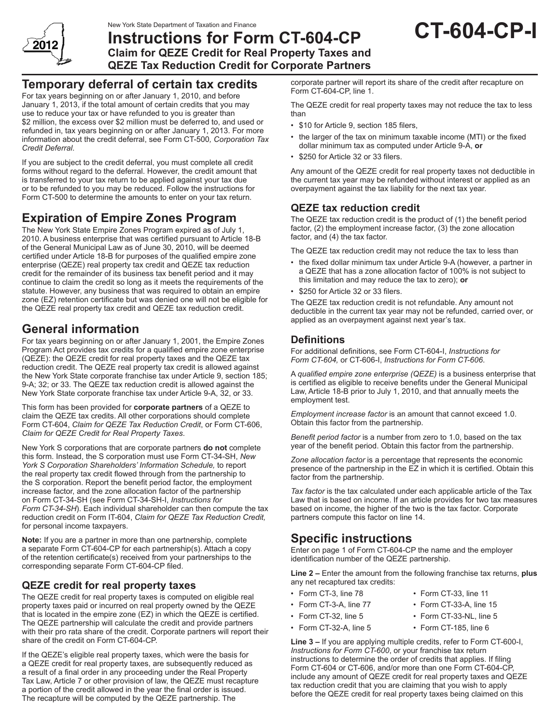

New York State Department of Taxation and Finance

**Instructions for Form CT-604-CP Claim for QEZE Credit for Real Property Taxes and QEZE Tax Reduction Credit for Corporate Partners**

### **Temporary deferral of certain tax credits**

For tax years beginning on or after January 1, 2010, and before January 1, 2013, if the total amount of certain credits that you may use to reduce your tax or have refunded to you is greater than \$2 million, the excess over \$2 million must be deferred to, and used or refunded in, tax years beginning on or after January 1, 2013. For more information about the credit deferral, see Form CT-500*, Corporation Tax Credit Deferral*.

If you are subject to the credit deferral, you must complete all credit forms without regard to the deferral. However, the credit amount that is transferred to your tax return to be applied against your tax due or to be refunded to you may be reduced. Follow the instructions for Form CT-500 to determine the amounts to enter on your tax return.

# **Expiration of Empire Zones Program**

The New York State Empire Zones Program expired as of July 1, 2010. A business enterprise that was certified pursuant to Article 18-B of the General Municipal Law as of June 30, 2010, will be deemed certified under Article 18-B for purposes of the qualified empire zone enterprise (QEZE) real property tax credit and QEZE tax reduction credit for the remainder of its business tax benefit period and it may continue to claim the credit so long as it meets the requirements of the statute. However, any business that was required to obtain an empire zone (EZ) retention certificate but was denied one will not be eligible for the QEZE real property tax credit and QEZE tax reduction credit.

## **General information**

For tax years beginning on or after January 1, 2001, the Empire Zones Program Act provides tax credits for a qualified empire zone enterprise (QEZE): the QEZE credit for real property taxes and the QEZE tax reduction credit. The QEZE real property tax credit is allowed against the New York State corporate franchise tax under Article 9, section 185; 9-A; 32; or 33. The QEZE tax reduction credit is allowed against the New York State corporate franchise tax under Article 9-A, 32, or 33.

This form has been provided for **corporate partners** of a QEZE to claim the QEZE tax credits. All other corporations should complete Form CT-604, *Claim for QEZE Tax Reduction Credit*, or Form CT-606, *Claim for QEZE Credit for Real Property Taxes*.

New York S corporations that are corporate partners **do not** complete this form. Instead, the S corporation must use Form CT-34-SH, *New York S Corporation Shareholders' Information Schedule,* to report the real property tax credit flowed through from the partnership to the S corporation. Report the benefit period factor, the employment increase factor, and the zone allocation factor of the partnership on Form CT-34-SH (see Form CT-34-SH-I, *Instructions for Form CT-34-SH*). Each individual shareholder can then compute the tax reduction credit on Form IT-604, *Claim for QEZE Tax Reduction Credit,*  for personal income taxpayers.

**Note:** If you are a partner in more than one partnership, complete a separate Form CT-604-CP for each partnership(s). Attach a copy of the retention certificate(s) received from your partnerships to the corresponding separate Form CT-604-CP filed.

#### **QEZE credit for real property taxes**

The QEZE credit for real property taxes is computed on eligible real property taxes paid or incurred on real property owned by the QEZE that is located in the empire zone (EZ) in which the QEZE is certified. The QEZE partnership will calculate the credit and provide partners with their pro rata share of the credit. Corporate partners will report their share of the credit on Form CT-604-CP.

If the QEZE's eligible real property taxes, which were the basis for a QEZE credit for real property taxes, are subsequently reduced as a result of a final order in any proceeding under the Real Property Tax Law, Article 7 or other provision of law, the QEZE must recapture a portion of the credit allowed in the year the final order is issued. The recapture will be computed by the QEZE partnership. The

corporate partner will report its share of the credit after recapture on Form CT-604-CP, line 1.

**CT-604-CP-I**

The QEZE credit for real property taxes may not reduce the tax to less than

- \$10 for Article 9, section 185 filers,
- the larger of the tax on minimum taxable income (MTI) or the fixed dollar minimum tax as computed under Article 9-A, **or**
- \$250 for Article 32 or 33 filers.

Any amount of the QEZE credit for real property taxes not deductible in the current tax year may be refunded without interest or applied as an overpayment against the tax liability for the next tax year.

#### **QEZE tax reduction credit**

The QEZE tax reduction credit is the product of (1) the benefit period factor, (2) the employment increase factor, (3) the zone allocation factor, and (4) the tax factor.

The QEZE tax reduction credit may not reduce the tax to less than

- the fixed dollar minimum tax under Article 9-A (however, a partner in a QEZE that has a zone allocation factor of 100% is not subject to this limitation and may reduce the tax to zero); **or**
- \$250 for Article 32 or 33 filers.

The QEZE tax reduction credit is not refundable. Any amount not deductible in the current tax year may not be refunded, carried over, or applied as an overpayment against next year's tax.

### **Definitions**

For additional definitions, see Form CT-604-I, *Instructions for Form CT-604,* or CT-606-I, *Instructions for Form CT-606*.

A *qualified empire zone enterprise (QEZE)* is a business enterprise that is certified as eligible to receive benefits under the General Municipal Law, Article 18-B prior to July 1, 2010, and that annually meets the employment test.

*Employment increase factor* is an amount that cannot exceed 1.0. Obtain this factor from the partnership.

*Benefit period factor* is a number from zero to 1.0, based on the tax year of the benefit period. Obtain this factor from the partnership.

*Zone allocation factor* is a percentage that represents the economic presence of the partnership in the EZ in which it is certified. Obtain this factor from the partnership.

*Tax factor* is the tax calculated under each applicable article of the Tax Law that is based on income. If an article provides for two tax measures based on income, the higher of the two is the tax factor. Corporate partners compute this factor on line 14.

## **Specific instructions**

Enter on page 1 of Form CT-604-CP the name and the employer identification number of the QEZE partnership.

**Line 2 –** Enter the amount from the following franchise tax returns, **plus** any net recaptured tax credits:

- Form CT-3, line 78 Form CT-33, line 11
	-
- Form CT-3-A, line 77 Form CT-33-A, line 15
	-
- Form CT-32, line 5 Form CT-33-NL, line 5
- Form CT-32-A, line 5 Form CT-185, line 6

**Line 3 –** If you are applying multiple credits, refer to Form CT-600-I, *Instructions for Form CT-600*, or your franchise tax return instructions to determine the order of credits that applies. If filing Form CT-604 or CT-606, and/or more than one Form CT-604-CP, include any amount of QEZE credit for real property taxes and QEZE tax reduction credit that you are claiming that you wish to apply before the QEZE credit for real property taxes being claimed on this